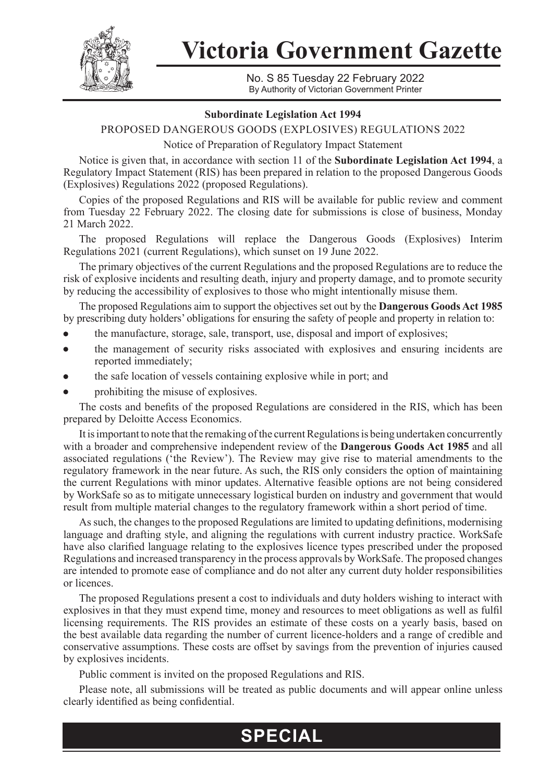

**Victoria Government Gazette**

No. S 85 Tuesday 22 February 2022 By Authority of Victorian Government Printer

### **Subordinate Legislation Act 1994**

#### PROPOSED DANGEROUS GOODS (EXPLOSIVES) REGULATIONS 2022

Notice of Preparation of Regulatory Impact Statement

Notice is given that, in accordance with section 11 of the **Subordinate Legislation Act 1994**, a Regulatory Impact Statement (RIS) has been prepared in relation to the proposed Dangerous Goods (Explosives) Regulations 2022 (proposed Regulations).

Copies of the proposed Regulations and RIS will be available for public review and comment from Tuesday 22 February 2022. The closing date for submissions is close of business, Monday 21 March 2022.

The proposed Regulations will replace the Dangerous Goods (Explosives) Interim Regulations 2021 (current Regulations), which sunset on 19 June 2022.

The primary objectives of the current Regulations and the proposed Regulations are to reduce the risk of explosive incidents and resulting death, injury and property damage, and to promote security by reducing the accessibility of explosives to those who might intentionally misuse them.

The proposed Regulations aim to support the objectives set out by the **Dangerous Goods Act 1985** by prescribing duty holders' obligations for ensuring the safety of people and property in relation to:

- the manufacture, storage, sale, transport, use, disposal and import of explosives;
- the management of security risks associated with explosives and ensuring incidents are reported immediately;
- the safe location of vessels containing explosive while in port; and
- prohibiting the misuse of explosives.

The costs and benefits of the proposed Regulations are considered in the RIS, which has been prepared by Deloitte Access Economics.

It is important to note that the remaking of the current Regulations is being undertaken concurrently with a broader and comprehensive independent review of the **Dangerous Goods Act 1985** and all associated regulations ('the Review'). The Review may give rise to material amendments to the regulatory framework in the near future. As such, the RIS only considers the option of maintaining the current Regulations with minor updates. Alternative feasible options are not being considered by WorkSafe so as to mitigate unnecessary logistical burden on industry and government that would result from multiple material changes to the regulatory framework within a short period of time.

As such, the changes to the proposed Regulations are limited to updating definitions, modernising language and drafting style, and aligning the regulations with current industry practice. WorkSafe have also clarified language relating to the explosives licence types prescribed under the proposed Regulations and increased transparency in the process approvals by WorkSafe. The proposed changes are intended to promote ease of compliance and do not alter any current duty holder responsibilities or licences.

The proposed Regulations present a cost to individuals and duty holders wishing to interact with explosives in that they must expend time, money and resources to meet obligations as well as fulfil licensing requirements. The RIS provides an estimate of these costs on a yearly basis, based on the best available data regarding the number of current licence-holders and a range of credible and conservative assumptions. These costs are offset by savings from the prevention of injuries caused by explosives incidents.

Public comment is invited on the proposed Regulations and RIS.

Please note, all submissions will be treated as public documents and will appear online unless clearly identified as being confidential.

## **SPECIAL**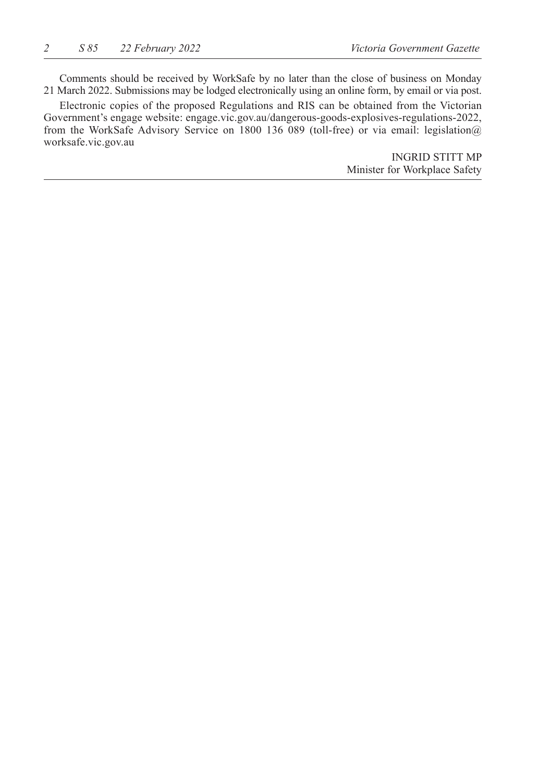Comments should be received by WorkSafe by no later than the close of business on Monday 21 March 2022. Submissions may be lodged electronically using an online form, by email or via post.

Electronic copies of the proposed Regulations and RIS can be obtained from the Victorian Government's engage website: [engage.vic.gov.au/dangerous-goods-explosives-regulations-2022](https://engage.vic.gov.au/dangerous-goods-explosives-regulations-2022), from the WorkSafe Advisory Service on 1800 136 089 (toll-free) or via email: legislation@ worksafe.vic.gov.au

> INGRID STITT MP Minister for Workplace Safety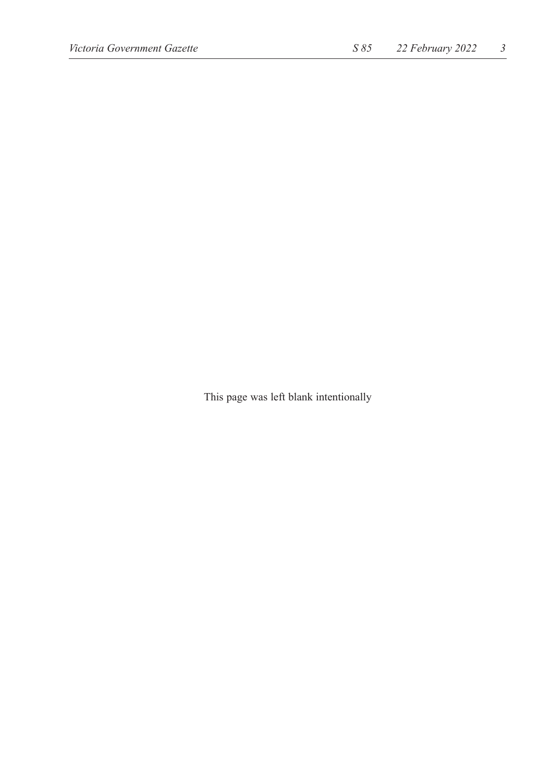This page was left blank intentionally